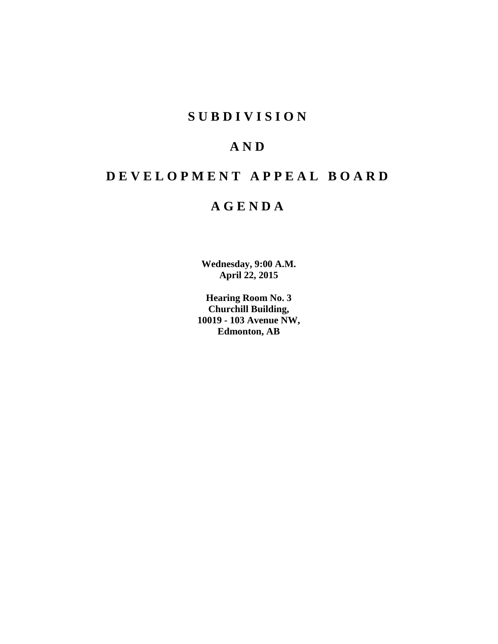## **S U B D I V I S I O N**

## **A N D**

# **D E V E L O P M E N T A P P E A L B O A R D**

## **A G E N D A**

**Wednesday, 9:00 A.M. April 22, 2015**

**Hearing Room No. 3 Churchill Building, 10019 - 103 Avenue NW, Edmonton, AB**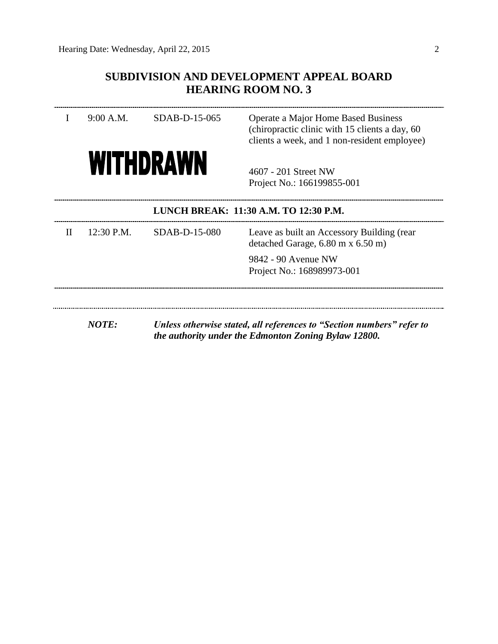## **SUBDIVISION AND DEVELOPMENT APPEAL BOARD HEARING ROOM NO. 3**

|              | 9:00 A.M.  | SDAB-D-15-065    | Operate a Major Home Based Business<br>(chiropractic clinic with 15 clients a day, 60)<br>clients a week, and 1 non-resident employee) |
|--------------|------------|------------------|----------------------------------------------------------------------------------------------------------------------------------------|
|              |            | <b>WITHDRAWN</b> | 4607 - 201 Street NW<br>Project No.: 166199855-001                                                                                     |
|              |            |                  | LUNCH BREAK: 11:30 A.M. TO 12:30 P.M.                                                                                                  |
| $\mathbf{H}$ | 12:30 P.M. | SDAB-D-15-080    | Leave as built an Accessory Building (rear<br>detached Garage, $6.80$ m x $6.50$ m)                                                    |
|              |            |                  | 9842 - 90 Avenue NW<br>Project No.: 168989973-001                                                                                      |
|              |            |                  |                                                                                                                                        |

*NOTE: Unless otherwise stated, all references to "Section numbers" refer to the authority under the Edmonton Zoning Bylaw 12800.*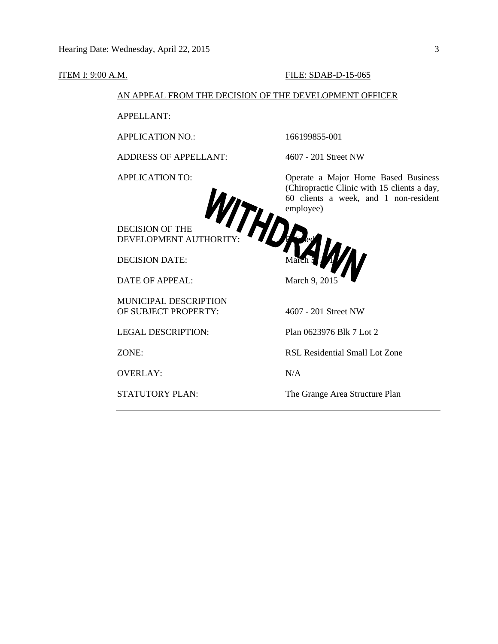#### **ITEM I: 9:00 A.M. FILE: SDAB-D-15-065**

#### AN APPEAL FROM THE DECISION OF THE DEVELOPMENT OFFICER

APPELLANT:

APPLICATION NO.: 166199855-001

ADDRESS OF APPELLANT: 4607 - 201 Street NW



DECISION OF THE DEVELOPMENT AUTHORITY: Red

DATE OF APPEAL: March 9, 2015

MUNICIPAL DESCRIPTION OF SUBJECT PROPERTY: 4607 - 201 Street NW

OVERLAY: N/A

APPLICATION TO: Operate a Major Home Based Business (Chiropractic Clinic with 15 clients a day, 60 clients a week, and 1 non-resident employee)

DECISION DATE: March 5, 2015

LEGAL DESCRIPTION: Plan 0623976 Blk 7 Lot 2

ZONE: RSL Residential Small Lot Zone

STATUTORY PLAN: The Grange Area Structure Plan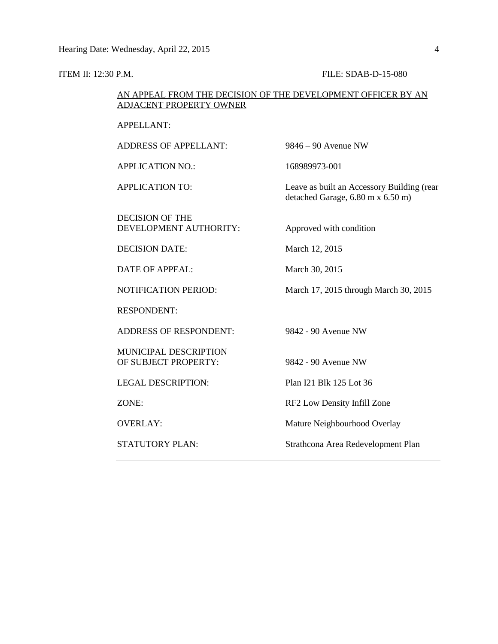### **ITEM II: 12:30 P.M. FILE: SDAB-D-15-080**

#### AN APPEAL FROM THE DECISION OF THE DEVELOPMENT OFFICER BY AN ADJACENT PROPERTY OWNER

| <b>APPELLANT:</b>                                    |                                                                                 |
|------------------------------------------------------|---------------------------------------------------------------------------------|
| <b>ADDRESS OF APPELLANT:</b>                         | $9846 - 90$ Avenue NW                                                           |
| <b>APPLICATION NO.:</b>                              | 168989973-001                                                                   |
| <b>APPLICATION TO:</b>                               | Leave as built an Accessory Building (rear<br>detached Garage, 6.80 m x 6.50 m) |
| <b>DECISION OF THE</b><br>DEVELOPMENT AUTHORITY:     | Approved with condition                                                         |
| <b>DECISION DATE:</b>                                | March 12, 2015                                                                  |
| DATE OF APPEAL:                                      | March 30, 2015                                                                  |
| <b>NOTIFICATION PERIOD:</b>                          | March 17, 2015 through March 30, 2015                                           |
| <b>RESPONDENT:</b>                                   |                                                                                 |
| <b>ADDRESS OF RESPONDENT:</b>                        | 9842 - 90 Avenue NW                                                             |
| <b>MUNICIPAL DESCRIPTION</b><br>OF SUBJECT PROPERTY: | 9842 - 90 Avenue NW                                                             |
| <b>LEGAL DESCRIPTION:</b>                            | Plan I21 Blk 125 Lot 36                                                         |
| ZONE:                                                | RF2 Low Density Infill Zone                                                     |
| <b>OVERLAY:</b>                                      | Mature Neighbourhood Overlay                                                    |
| <b>STATUTORY PLAN:</b>                               | Strathcona Area Redevelopment Plan                                              |
|                                                      |                                                                                 |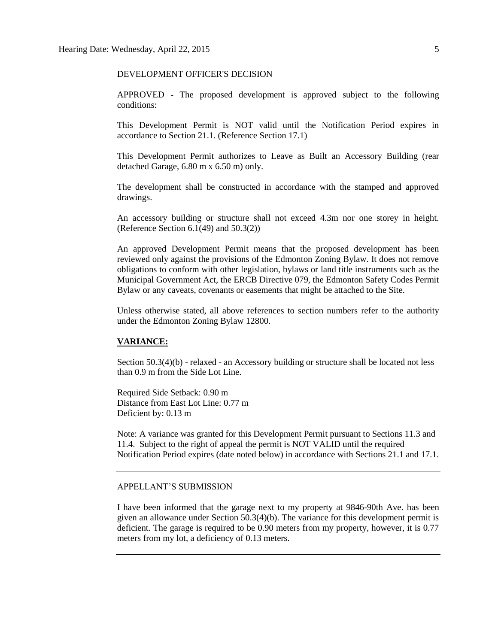#### DEVELOPMENT OFFICER'S DECISION

APPROVED - The proposed development is approved subject to the following conditions:

This Development Permit is NOT valid until the Notification Period expires in accordance to Section 21.1. (Reference Section 17.1)

This Development Permit authorizes to Leave as Built an Accessory Building (rear detached Garage, 6.80 m x 6.50 m) only.

The development shall be constructed in accordance with the stamped and approved drawings.

An accessory building or structure shall not exceed 4.3m nor one storey in height. (Reference Section  $6.1(49)$  and  $50.3(2)$ )

An approved Development Permit means that the proposed development has been reviewed only against the provisions of the Edmonton Zoning Bylaw. It does not remove obligations to conform with other legislation, bylaws or land title instruments such as the Municipal Government Act, the ERCB Directive 079, the Edmonton Safety Codes Permit Bylaw or any caveats, covenants or easements that might be attached to the Site.

Unless otherwise stated, all above references to section numbers refer to the authority under the Edmonton Zoning Bylaw 12800.

#### **VARIANCE:**

Section 50.3(4)(b) - relaxed - an Accessory building or structure shall be located not less than 0.9 m from the Side Lot Line.

Required Side Setback: 0.90 m Distance from East Lot Line: 0.77 m Deficient by: 0.13 m

Note: A variance was granted for this Development Permit pursuant to Sections 11.3 and 11.4. Subject to the right of appeal the permit is NOT VALID until the required Notification Period expires (date noted below) in accordance with Sections 21.1 and 17.1.

#### APPELLANT'S SUBMISSION

I have been informed that the garage next to my property at 9846-90th Ave. has been given an allowance under Section 50.3(4)(b). The variance for this development permit is deficient. The garage is required to be 0.90 meters from my property, however, it is 0.77 meters from my lot, a deficiency of 0.13 meters.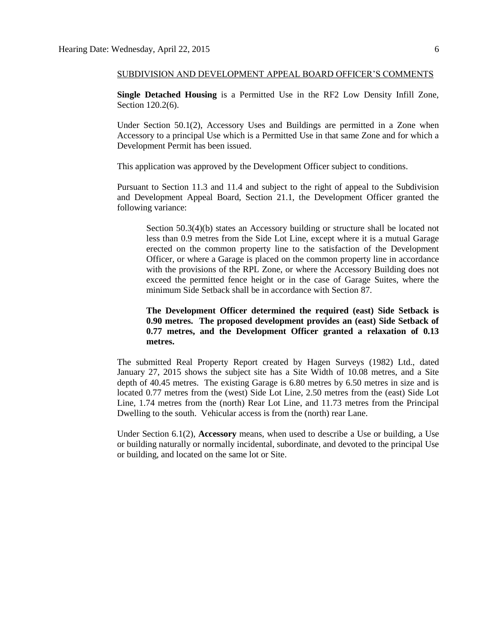#### SUBDIVISION AND DEVELOPMENT APPEAL BOARD OFFICER'S COMMENTS

**Single Detached Housing** is a Permitted Use in the RF2 Low Density Infill Zone, Section 120.2(6).

Under Section 50.1(2), Accessory Uses and Buildings are permitted in a Zone when Accessory to a principal Use which is a Permitted Use in that same Zone and for which a Development Permit has been issued.

This application was approved by the Development Officer subject to conditions.

Pursuant to Section 11.3 and 11.4 and subject to the right of appeal to the Subdivision and Development Appeal Board, Section 21.1, the Development Officer granted the following variance:

Section 50.3(4)(b) states an Accessory building or structure shall be located not less than 0.9 metres from the Side Lot Line, except where it is a mutual Garage erected on the common property line to the satisfaction of the Development Officer, or where a Garage is placed on the common property line in accordance with the provisions of the RPL Zone, or where the Accessory Building does not exceed the permitted fence height or in the case of Garage Suites, where the minimum Side Setback shall be in accordance with Section 87.

#### **The Development Officer determined the required (east) Side Setback is 0.90 metres. The proposed development provides an (east) Side Setback of 0.77 metres, and the Development Officer granted a relaxation of 0.13 metres.**

The submitted Real Property Report created by Hagen Surveys (1982) Ltd., dated January 27, 2015 shows the subject site has a Site Width of 10.08 metres, and a Site depth of 40.45 metres. The existing Garage is 6.80 metres by 6.50 metres in size and is located 0.77 metres from the (west) Side Lot Line, 2.50 metres from the (east) Side Lot Line, 1.74 metres from the (north) Rear Lot Line, and 11.73 metres from the Principal Dwelling to the south. Vehicular access is from the (north) rear Lane.

Under Section 6.1(2), **Accessory** means, when used to describe a Use or building, a Use or building naturally or normally incidental, subordinate, and devoted to the principal Use or building, and located on the same lot or Site.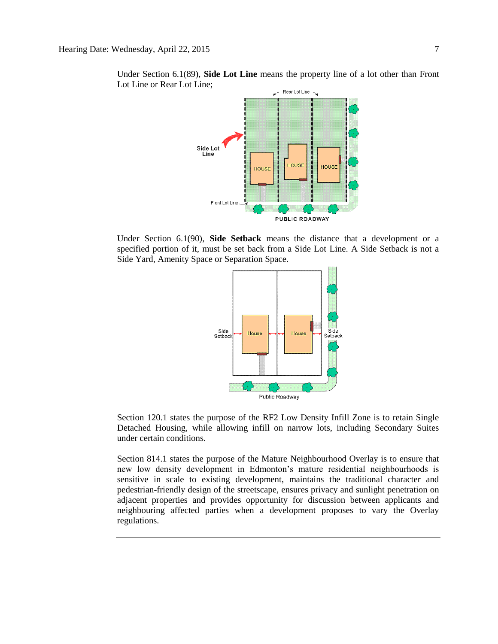

Under Section 6.1(89), **Side Lot Line** means the property line of a lot other than Front Lot Line or Rear Lot Line;

Under Section 6.1(90), **Side Setback** means the distance that a development or a specified portion of it, must be set back from a Side Lot Line. A Side Setback is not a Side Yard, Amenity Space or Separation Space.



Section 120.1 states the purpose of the RF2 Low Density Infill Zone is to retain Single Detached Housing, while allowing infill on narrow lots, including Secondary Suites under certain conditions.

Section 814.1 states the purpose of the Mature Neighbourhood Overlay is to ensure that new low density development in Edmonton's mature residential neighbourhoods is sensitive in scale to existing development, maintains the traditional character and pedestrian-friendly design of the streetscape, ensures privacy and sunlight penetration on adjacent properties and provides opportunity for discussion between applicants and neighbouring affected parties when a development proposes to vary the Overlay regulations.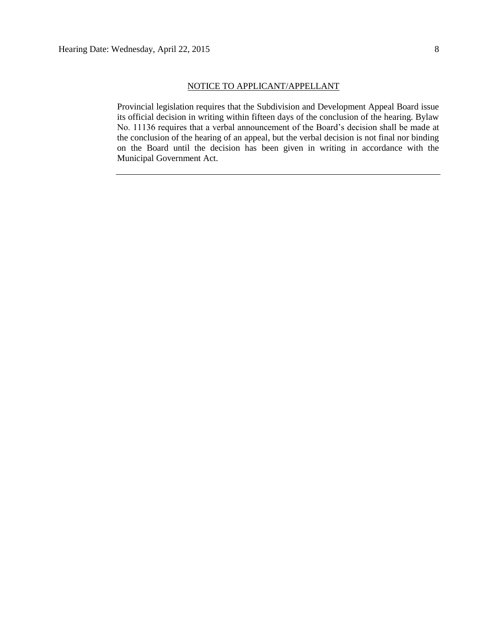#### NOTICE TO APPLICANT/APPELLANT

Provincial legislation requires that the Subdivision and Development Appeal Board issue its official decision in writing within fifteen days of the conclusion of the hearing. Bylaw No. 11136 requires that a verbal announcement of the Board's decision shall be made at the conclusion of the hearing of an appeal, but the verbal decision is not final nor binding on the Board until the decision has been given in writing in accordance with the Municipal Government Act.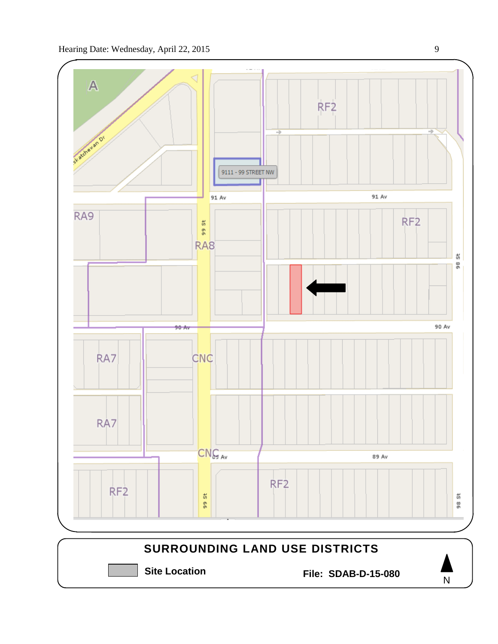